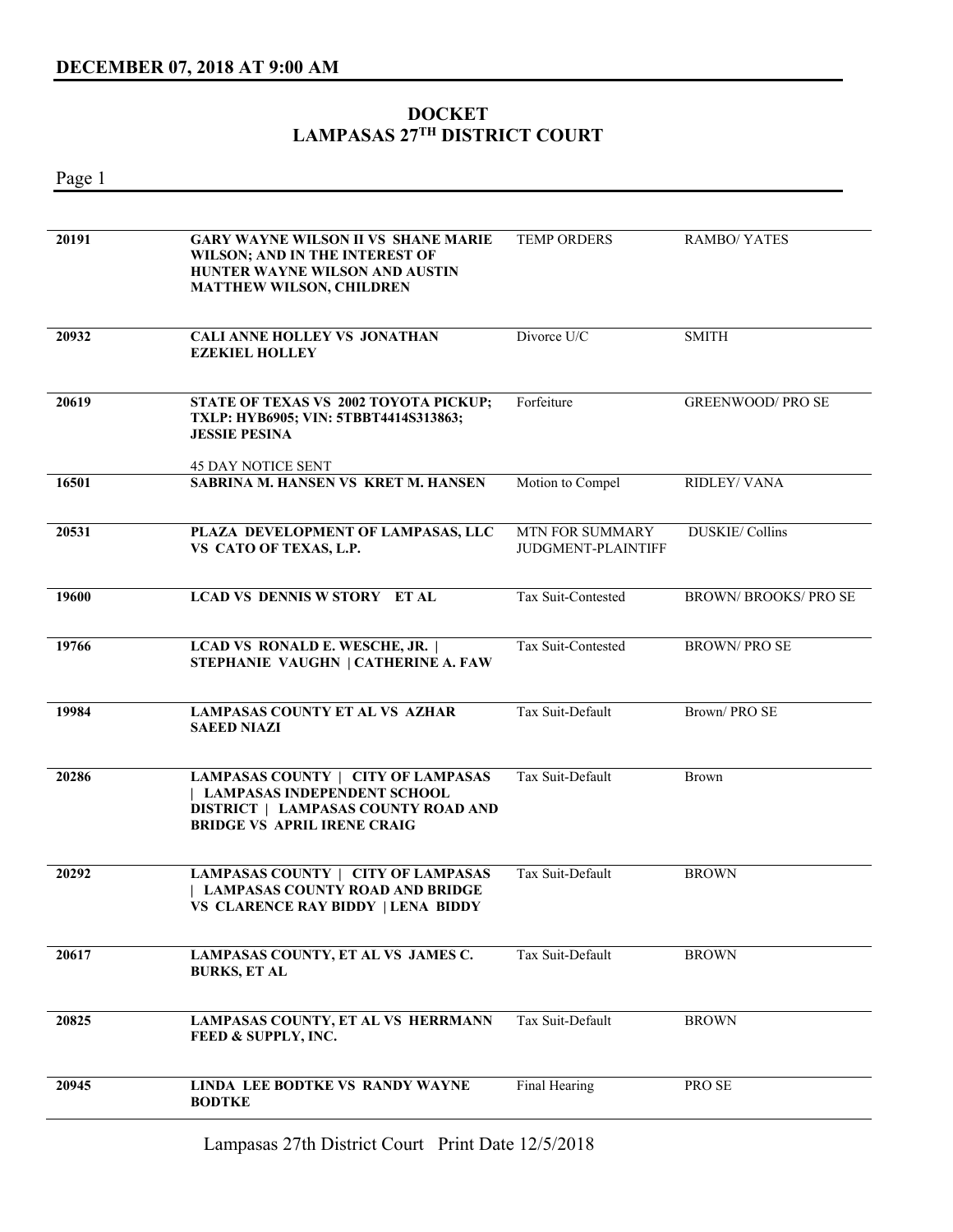## **DOCKET LAMPASAS 27TH DISTRICT COURT**

Page 1 **20191 GARY WAYNE WILSON II VS SHANE MARIE WILSON; AND IN THE INTEREST OF HUNTER WAYNE WILSON AND AUSTIN MATTHEW WILSON, CHILDREN**  TEMP ORDERS RAMBO/ YATES **20932 CALI ANNE HOLLEY VS JONATHAN EZEKIEL HOLLEY**  Divorce U/C SMITH **20619 STATE OF TEXAS VS 2002 TOYOTA PICKUP; TXLP: HYB6905; VIN: 5TBBT4414S313863; JESSIE PESINA**  45 DAY NOTICE SENT Forfeiture GREENWOOD/ PRO SE **16501 SABRINA M. HANSEN VS KRET M. HANSEN** Motion to Compel RIDLEY/ VANA **20531 PLAZA DEVELOPMENT OF LAMPASAS, LLC VS CATO OF TEXAS, L.P.**  MTN FOR SUMMARY JUDGMENT-PLAINTIFF DUSKIE/ Collins **19600 LCAD VS DENNIS W STORY ET AL** Tax Suit-Contested BROWN/ BROOKS/ PRO SE **19766 LCAD VS RONALD E. WESCHE, JR. | STEPHANIE VAUGHN | CATHERINE A. FAW**  Tax Suit-Contested BROWN/ PRO SE **19984 LAMPASAS COUNTY ET AL VS AZHAR SAEED NIAZI**  Tax Suit-Default Brown/ PRO SE **20286 LAMPASAS COUNTY | CITY OF LAMPASAS | LAMPASAS INDEPENDENT SCHOOL DISTRICT | LAMPASAS COUNTY ROAD AND BRIDGE VS APRIL IRENE CRAIG**  Tax Suit-Default Brown **20292 LAMPASAS COUNTY | CITY OF LAMPASAS | LAMPASAS COUNTY ROAD AND BRIDGE VS CLARENCE RAY BIDDY | LENA BIDDY**  Tax Suit-Default BROWN **20617 LAMPASAS COUNTY, ET AL VS JAMES C. BURKS, ET AL**  Tax Suit-Default BROWN **20825 LAMPASAS COUNTY, ET AL VS HERRMANN FEED & SUPPLY, INC.**  Tax Suit-Default BROWN **20945 LINDA LEE BODTKE VS RANDY WAYNE BODTKE**  Final Hearing PRO SE